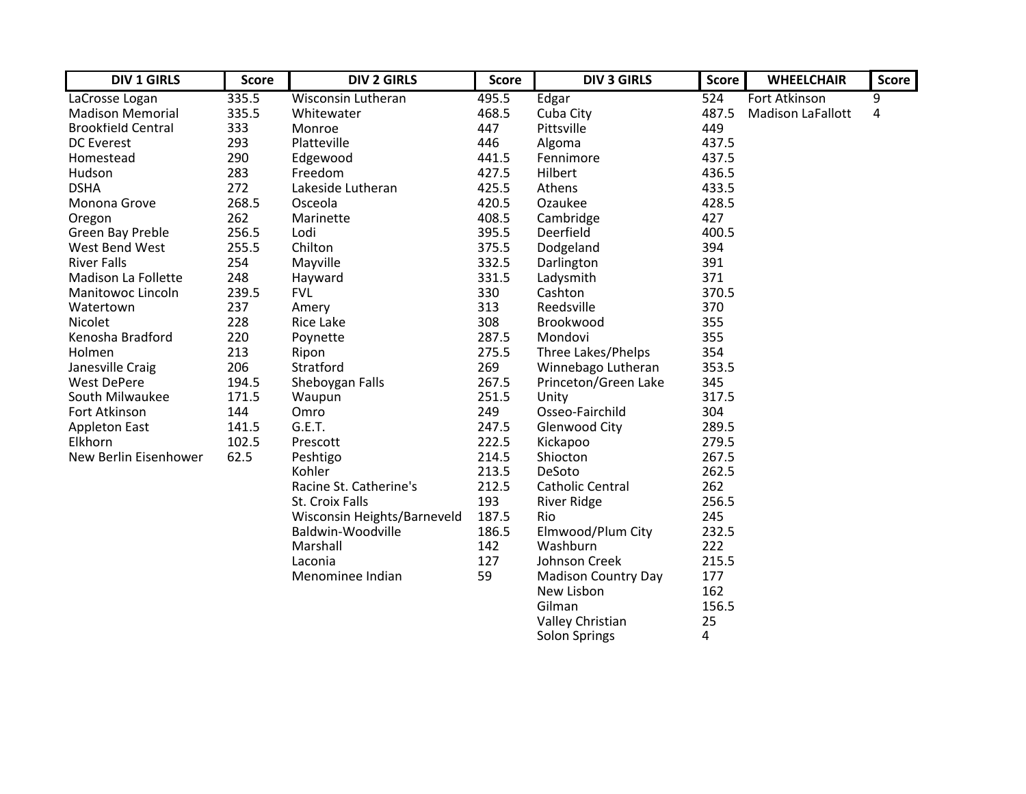| <b>DIV 1 GIRLS</b>        | <b>Score</b> | <b>DIV 2 GIRLS</b>          | <b>Score</b> | <b>DIV 3 GIRLS</b>         | <b>Score</b> | <b>WHEELCHAIR</b>        | <b>Score</b> |
|---------------------------|--------------|-----------------------------|--------------|----------------------------|--------------|--------------------------|--------------|
| LaCrosse Logan            | 335.5        | <b>Wisconsin Lutheran</b>   | 495.5        | Edgar                      | 524          | <b>Fort Atkinson</b>     | 9            |
| <b>Madison Memorial</b>   | 335.5        | Whitewater                  | 468.5        | Cuba City                  | 487.5        | <b>Madison LaFallott</b> | 4            |
| <b>Brookfield Central</b> | 333          | Monroe                      | 447          | Pittsville                 | 449          |                          |              |
| <b>DC</b> Everest         | 293          | Platteville                 | 446          | Algoma                     | 437.5        |                          |              |
| Homestead                 | 290          | Edgewood                    | 441.5        | Fennimore                  | 437.5        |                          |              |
| Hudson                    | 283          | Freedom                     | 427.5        | Hilbert                    | 436.5        |                          |              |
| <b>DSHA</b>               | 272          | Lakeside Lutheran           | 425.5        | Athens                     | 433.5        |                          |              |
| Monona Grove              | 268.5        | Osceola                     | 420.5        | Ozaukee                    | 428.5        |                          |              |
| Oregon                    | 262          | Marinette                   | 408.5        | Cambridge                  | 427          |                          |              |
| Green Bay Preble          | 256.5        | Lodi                        | 395.5        | Deerfield                  | 400.5        |                          |              |
| West Bend West            | 255.5        | Chilton                     | 375.5        | Dodgeland                  | 394          |                          |              |
| <b>River Falls</b>        | 254          | Mayville                    | 332.5        | Darlington                 | 391          |                          |              |
| Madison La Follette       | 248          | Hayward                     | 331.5        | Ladysmith                  | 371          |                          |              |
| Manitowoc Lincoln         | 239.5        | <b>FVL</b>                  | 330          | Cashton                    | 370.5        |                          |              |
| Watertown                 | 237          | Amery                       | 313          | Reedsville                 | 370          |                          |              |
| Nicolet                   | 228          | <b>Rice Lake</b>            | 308          | Brookwood                  | 355          |                          |              |
| Kenosha Bradford          | 220          | Poynette                    | 287.5        | Mondovi                    | 355          |                          |              |
| Holmen                    | 213          | Ripon                       | 275.5        | Three Lakes/Phelps         | 354          |                          |              |
| Janesville Craig          | 206          | Stratford                   | 269          | Winnebago Lutheran         | 353.5        |                          |              |
| <b>West DePere</b>        | 194.5        | Sheboygan Falls             | 267.5        | Princeton/Green Lake       | 345          |                          |              |
| South Milwaukee           | 171.5        | Waupun                      | 251.5        | Unity                      | 317.5        |                          |              |
| Fort Atkinson             | 144          | Omro                        | 249          | Osseo-Fairchild            | 304          |                          |              |
| <b>Appleton East</b>      | 141.5        | G.E.T.                      | 247.5        | <b>Glenwood City</b>       | 289.5        |                          |              |
| Elkhorn                   | 102.5        | Prescott                    | 222.5        | Kickapoo                   | 279.5        |                          |              |
| New Berlin Eisenhower     | 62.5         | Peshtigo                    | 214.5        | Shiocton                   | 267.5        |                          |              |
|                           |              | Kohler                      | 213.5        | DeSoto                     | 262.5        |                          |              |
|                           |              | Racine St. Catherine's      | 212.5        | <b>Catholic Central</b>    | 262          |                          |              |
|                           |              | St. Croix Falls             | 193          | <b>River Ridge</b>         | 256.5        |                          |              |
|                           |              | Wisconsin Heights/Barneveld | 187.5        | Rio                        | 245          |                          |              |
|                           |              | Baldwin-Woodville           | 186.5        | Elmwood/Plum City          | 232.5        |                          |              |
|                           |              | Marshall                    | 142          | Washburn                   | 222          |                          |              |
|                           |              | Laconia                     | 127          | Johnson Creek              | 215.5        |                          |              |
|                           |              | Menominee Indian            | 59           | <b>Madison Country Day</b> | 177          |                          |              |
|                           |              |                             |              | New Lisbon                 | 162          |                          |              |
|                           |              |                             |              | Gilman                     | 156.5        |                          |              |
|                           |              |                             |              | Valley Christian           | 25           |                          |              |

Solon Springs 4